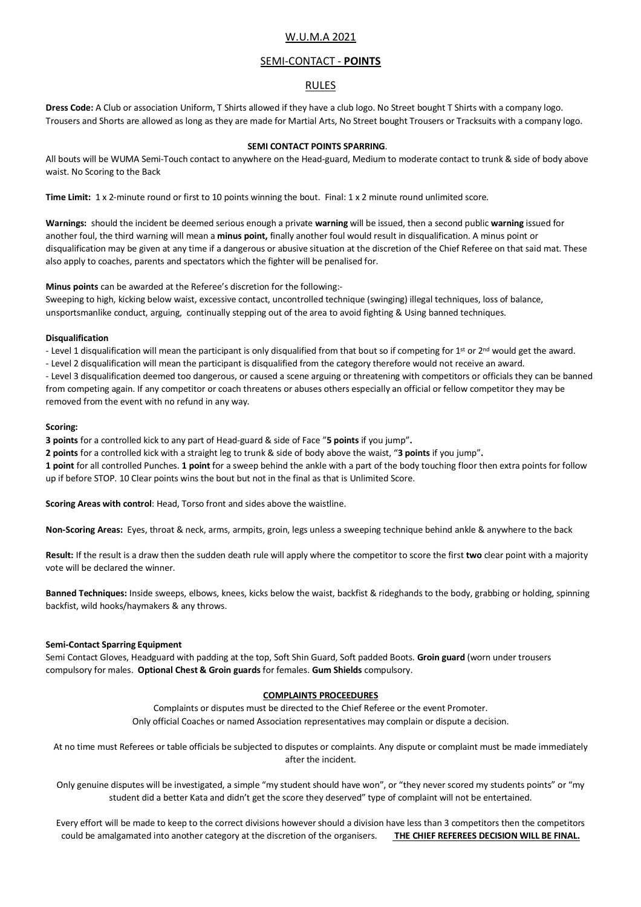# W.U.M.A 2021

# SEMI-CONTACT - **POINTS**

### RULES

**Dress Code:** A Club or association Uniform, T Shirts allowed if they have a club logo. No Street bought T Shirts with a company logo. Trousers and Shorts are allowed as long as they are made for Martial Arts, No Street bought Trousers or Tracksuits with a company logo.

#### **SEMI CONTACT POINTS SPARRING**.

All bouts will be WUMA Semi-Touch contact to anywhere on the Head-guard, Medium to moderate contact to trunk & side of body above waist. No Scoring to the Back

**Time Limit:** 1 x 2-minute round or first to 10 points winning the bout. Final: 1 x 2 minute round unlimited score.

**Warnings:** should the incident be deemed serious enough a private **warning** will be issued, then a second public **warning** issued for another foul, the third warning will mean a **minus point,** finally another foul would result in disqualification. A minus point or disqualification may be given at any time if a dangerous or abusive situation at the discretion of the Chief Referee on that said mat. These also apply to coaches, parents and spectators which the fighter will be penalised for.

**Minus points** can be awarded at the Referee's discretion for the following:-

Sweeping to high, kicking below waist, excessive contact, uncontrolled technique (swinging) illegal techniques, loss of balance, unsportsmanlike conduct, arguing, continually stepping out of the area to avoid fighting & Using banned techniques.

#### **Disqualification**

- Level 1 disqualification will mean the participant is only disqualified from that bout so if competing for 1<sup>st</sup> or 2<sup>nd</sup> would get the award.

- Level 2 disqualification will mean the participant is disqualified from the category therefore would not receive an award.

- Level 3 disqualification deemed too dangerous, or caused a scene arguing or threatening with competitors or officials they can be banned from competing again. If any competitor or coach threatens or abuses others especially an official or fellow competitor they may be removed from the event with no refund in any way.

#### **Scoring:**

**3 points** for a controlled kick to any part of Head-guard & side of Face "**5 points** if you jump"**.**

**2 points** for a controlled kick with a straight leg to trunk & side of body above the waist, "**3 points** if you jump"**.** 

**1 point** for all controlled Punches. **1 point** for a sweep behind the ankle with a part of the body touching floor then extra points for follow up if before STOP. 10 Clear points wins the bout but not in the final as that is Unlimited Score.

**Scoring Areas with control**: Head, Torso front and sides above the waistline.

**Non-Scoring Areas:** Eyes, throat & neck, arms, armpits, groin, legs unless a sweeping technique behind ankle & anywhere to the back

**Result:** If the result is a draw then the sudden death rule will apply where the competitor to score the first **two** clear point with a majority vote will be declared the winner.

**Banned Techniques:** Inside sweeps, elbows, knees, kicks below the waist, backfist & rideghands to the body, grabbing or holding, spinning backfist, wild hooks/haymakers & any throws.

#### **Semi-Contact Sparring Equipment**

Semi Contact Gloves, Headguard with padding at the top, Soft Shin Guard, Soft padded Boots. **Groin guard** (worn under trousers compulsory for males. **Optional Chest & Groin guards** for females. **Gum Shields** compulsory.

#### **COMPLAINTS PROCEEDURES**

Complaints or disputes must be directed to the Chief Referee or the event Promoter. Only official Coaches or named Association representatives may complain or dispute a decision.

At no time must Referees or table officials be subjected to disputes or complaints. Any dispute or complaint must be made immediately after the incident.

Only genuine disputes will be investigated, a simple "my student should have won", or "they never scored my students points" or "my student did a better Kata and didn't get the score they deserved" type of complaint will not be entertained.

Every effort will be made to keep to the correct divisions however should a division have less than 3 competitors then the competitors could be amalgamated into another category at the discretion of the organisers. **THE CHIEF REFEREES DECISION WILL BE FINAL.**